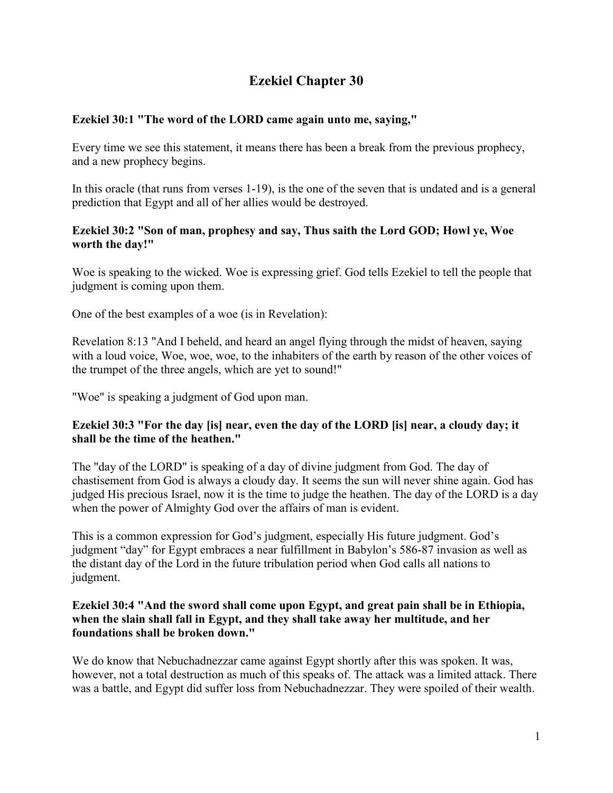# **Ezekiel Chapter 30**

# **Ezekiel 30:1 "The word of the LORD came again unto me, saying,"**

Every time we see this statement, it means there has been a break from the previous prophecy, and a new prophecy begins.

In this oracle (that runs from verses 1-19), is the one of the seven that is undated and is a general prediction that Egypt and all of her allies would be destroyed.

# **Ezekiel 30:2 "Son of man, prophesy and say, Thus saith the Lord GOD; Howl ye, Woe worth the day!"**

Woe is speaking to the wicked. Woe is expressing grief. God tells Ezekiel to tell the people that judgment is coming upon them.

One of the best examples of a woe (is in Revelation):

Revelation 8:13 "And I beheld, and heard an angel flying through the midst of heaven, saying with a loud voice, Woe, woe, woe, to the inhabiters of the earth by reason of the other voices of the trumpet of the three angels, which are yet to sound!"

"Woe" is speaking a judgment of God upon man.

# **Ezekiel 30:3 "For the day [is] near, even the day of the LORD [is] near, a cloudy day; it shall be the time of the heathen."**

The "day of the LORD" is speaking of a day of divine judgment from God. The day of chastisement from God is always a cloudy day. It seems the sun will never shine again. God has judged His precious Israel, now it is the time to judge the heathen. The day of the LORD is a day when the power of Almighty God over the affairs of man is evident.

This is a common expression for God's judgment, especially His future judgment. God's judgment "day" for Egypt embraces a near fulfillment in Babylon's 586-87 invasion as well as the distant day of the Lord in the future tribulation period when God calls all nations to judgment.

# **Ezekiel 30:4 "And the sword shall come upon Egypt, and great pain shall be in Ethiopia, when the slain shall fall in Egypt, and they shall take away her multitude, and her foundations shall be broken down."**

We do know that Nebuchadnezzar came against Egypt shortly after this was spoken. It was, however, not a total destruction as much of this speaks of. The attack was a limited attack. There was a battle, and Egypt did suffer loss from Nebuchadnezzar. They were spoiled of their wealth.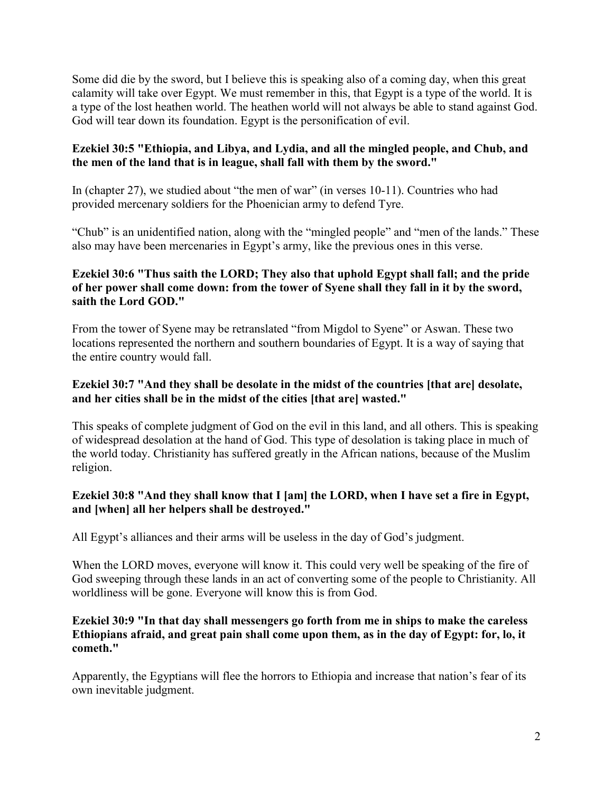Some did die by the sword, but I believe this is speaking also of a coming day, when this great calamity will take over Egypt. We must remember in this, that Egypt is a type of the world. It is a type of the lost heathen world. The heathen world will not always be able to stand against God. God will tear down its foundation. Egypt is the personification of evil.

# **Ezekiel 30:5 "Ethiopia, and Libya, and Lydia, and all the mingled people, and Chub, and the men of the land that is in league, shall fall with them by the sword."**

In (chapter 27), we studied about "the men of war" (in verses 10-11). Countries who had provided mercenary soldiers for the Phoenician army to defend Tyre.

"Chub" is an unidentified nation, along with the "mingled people" and "men of the lands." These also may have been mercenaries in Egypt's army, like the previous ones in this verse.

# **Ezekiel 30:6 "Thus saith the LORD; They also that uphold Egypt shall fall; and the pride of her power shall come down: from the tower of Syene shall they fall in it by the sword, saith the Lord GOD."**

From the tower of Syene may be retranslated "from Migdol to Syene" or Aswan. These two locations represented the northern and southern boundaries of Egypt. It is a way of saying that the entire country would fall.

# **Ezekiel 30:7 "And they shall be desolate in the midst of the countries [that are] desolate, and her cities shall be in the midst of the cities [that are] wasted."**

This speaks of complete judgment of God on the evil in this land, and all others. This is speaking of widespread desolation at the hand of God. This type of desolation is taking place in much of the world today. Christianity has suffered greatly in the African nations, because of the Muslim religion.

# **Ezekiel 30:8 "And they shall know that I [am] the LORD, when I have set a fire in Egypt, and [when] all her helpers shall be destroyed."**

All Egypt's alliances and their arms will be useless in the day of God's judgment.

When the LORD moves, everyone will know it. This could very well be speaking of the fire of God sweeping through these lands in an act of converting some of the people to Christianity. All worldliness will be gone. Everyone will know this is from God.

# **Ezekiel 30:9 "In that day shall messengers go forth from me in ships to make the careless Ethiopians afraid, and great pain shall come upon them, as in the day of Egypt: for, lo, it cometh."**

Apparently, the Egyptians will flee the horrors to Ethiopia and increase that nation's fear of its own inevitable judgment.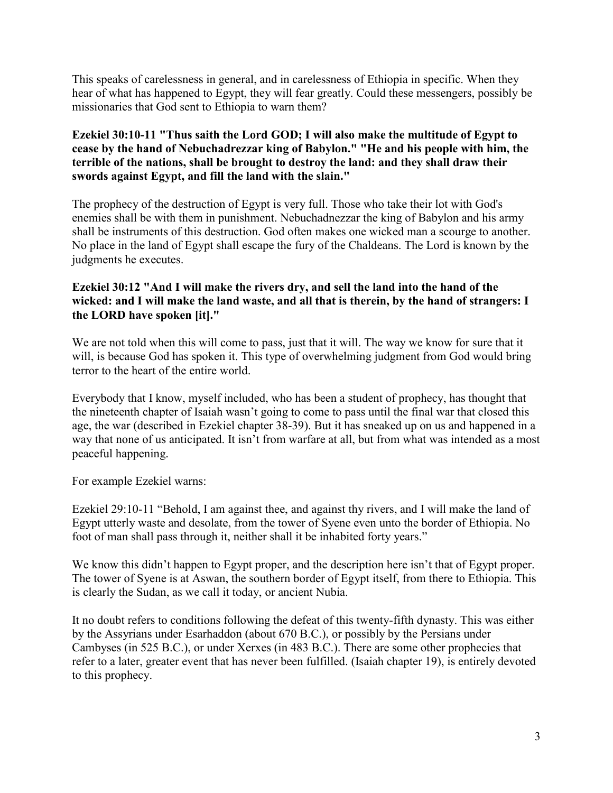This speaks of carelessness in general, and in carelessness of Ethiopia in specific. When they hear of what has happened to Egypt, they will fear greatly. Could these messengers, possibly be missionaries that God sent to Ethiopia to warn them?

# **Ezekiel 30:10-11 "Thus saith the Lord GOD; I will also make the multitude of Egypt to cease by the hand of Nebuchadrezzar king of Babylon." "He and his people with him, the terrible of the nations, shall be brought to destroy the land: and they shall draw their swords against Egypt, and fill the land with the slain."**

The prophecy of the destruction of Egypt is very full. Those who take their lot with God's enemies shall be with them in punishment. Nebuchadnezzar the king of Babylon and his army shall be instruments of this destruction. God often makes one wicked man a scourge to another. No place in the land of Egypt shall escape the fury of the Chaldeans. The Lord is known by the judgments he executes.

# **Ezekiel 30:12 "And I will make the rivers dry, and sell the land into the hand of the wicked: and I will make the land waste, and all that is therein, by the hand of strangers: I the LORD have spoken [it]."**

We are not told when this will come to pass, just that it will. The way we know for sure that it will, is because God has spoken it. This type of overwhelming judgment from God would bring terror to the heart of the entire world.

Everybody that I know, myself included, who has been a student of prophecy, has thought that the nineteenth chapter of Isaiah wasn't going to come to pass until the final war that closed this age, the war (described in Ezekiel chapter 38-39). But it has sneaked up on us and happened in a way that none of us anticipated. It isn't from warfare at all, but from what was intended as a most peaceful happening.

For example Ezekiel warns:

Ezekiel 29:10-11 "Behold, I am against thee, and against thy rivers, and I will make the land of Egypt utterly waste and desolate, from the tower of Syene even unto the border of Ethiopia. No foot of man shall pass through it, neither shall it be inhabited forty years."

We know this didn't happen to Egypt proper, and the description here isn't that of Egypt proper. The tower of Syene is at Aswan, the southern border of Egypt itself, from there to Ethiopia. This is clearly the Sudan, as we call it today, or ancient Nubia.

It no doubt refers to conditions following the defeat of this twenty-fifth dynasty. This was either by the Assyrians under Esarhaddon (about 670 B.C.), or possibly by the Persians under Cambyses (in 525 B.C.), or under Xerxes (in 483 B.C.). There are some other prophecies that refer to a later, greater event that has never been fulfilled. (Isaiah chapter 19), is entirely devoted to this prophecy.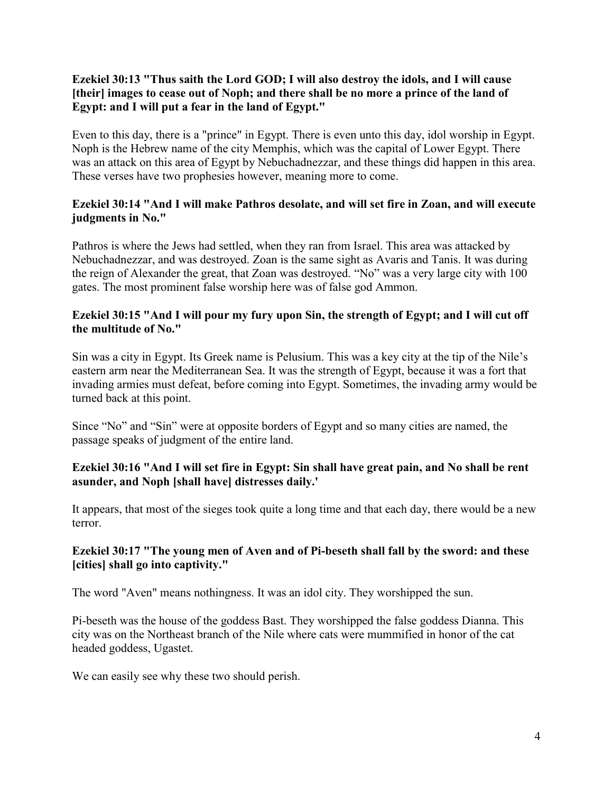# **Ezekiel 30:13 "Thus saith the Lord GOD; I will also destroy the idols, and I will cause [their] images to cease out of Noph; and there shall be no more a prince of the land of Egypt: and I will put a fear in the land of Egypt."**

Even to this day, there is a "prince" in Egypt. There is even unto this day, idol worship in Egypt. Noph is the Hebrew name of the city Memphis, which was the capital of Lower Egypt. There was an attack on this area of Egypt by Nebuchadnezzar, and these things did happen in this area. These verses have two prophesies however, meaning more to come.

# **Ezekiel 30:14 "And I will make Pathros desolate, and will set fire in Zoan, and will execute judgments in No."**

Pathros is where the Jews had settled, when they ran from Israel. This area was attacked by Nebuchadnezzar, and was destroyed. Zoan is the same sight as Avaris and Tanis. It was during the reign of Alexander the great, that Zoan was destroyed. "No" was a very large city with 100 gates. The most prominent false worship here was of false god Ammon.

### **Ezekiel 30:15 "And I will pour my fury upon Sin, the strength of Egypt; and I will cut off the multitude of No."**

Sin was a city in Egypt. Its Greek name is Pelusium. This was a key city at the tip of the Nile's eastern arm near the Mediterranean Sea. It was the strength of Egypt, because it was a fort that invading armies must defeat, before coming into Egypt. Sometimes, the invading army would be turned back at this point.

Since "No" and "Sin" were at opposite borders of Egypt and so many cities are named, the passage speaks of judgment of the entire land.

# **Ezekiel 30:16 "And I will set fire in Egypt: Sin shall have great pain, and No shall be rent asunder, and Noph [shall have] distresses daily.'**

It appears, that most of the sieges took quite a long time and that each day, there would be a new terror.

# **Ezekiel 30:17 "The young men of Aven and of Pi-beseth shall fall by the sword: and these [cities] shall go into captivity."**

The word "Aven" means nothingness. It was an idol city. They worshipped the sun.

Pi-beseth was the house of the goddess Bast. They worshipped the false goddess Dianna. This city was on the Northeast branch of the Nile where cats were mummified in honor of the cat headed goddess, Ugastet.

We can easily see why these two should perish.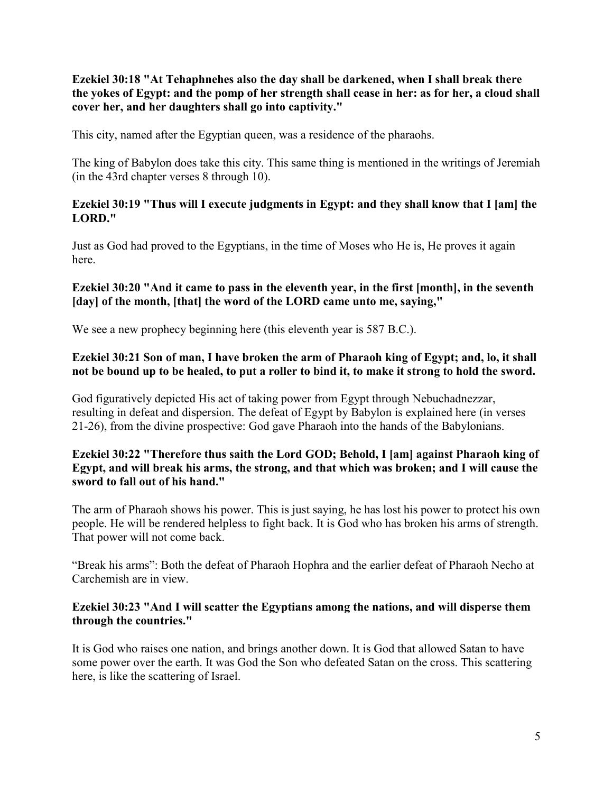**Ezekiel 30:18 "At Tehaphnehes also the day shall be darkened, when I shall break there the yokes of Egypt: and the pomp of her strength shall cease in her: as for her, a cloud shall cover her, and her daughters shall go into captivity."**

This city, named after the Egyptian queen, was a residence of the pharaohs.

The king of Babylon does take this city. This same thing is mentioned in the writings of Jeremiah (in the 43rd chapter verses 8 through 10).

# **Ezekiel 30:19 "Thus will I execute judgments in Egypt: and they shall know that I [am] the LORD."**

Just as God had proved to the Egyptians, in the time of Moses who He is, He proves it again here.

# **Ezekiel 30:20 "And it came to pass in the eleventh year, in the first [month], in the seventh [day] of the month, [that] the word of the LORD came unto me, saying,"**

We see a new prophecy beginning here (this eleventh year is 587 B.C.).

### **Ezekiel 30:21 Son of man, I have broken the arm of Pharaoh king of Egypt; and, lo, it shall not be bound up to be healed, to put a roller to bind it, to make it strong to hold the sword.**

God figuratively depicted His act of taking power from Egypt through Nebuchadnezzar, resulting in defeat and dispersion. The defeat of Egypt by Babylon is explained here (in verses 21-26), from the divine prospective: God gave Pharaoh into the hands of the Babylonians.

# **Ezekiel 30:22 "Therefore thus saith the Lord GOD; Behold, I [am] against Pharaoh king of Egypt, and will break his arms, the strong, and that which was broken; and I will cause the sword to fall out of his hand."**

The arm of Pharaoh shows his power. This is just saying, he has lost his power to protect his own people. He will be rendered helpless to fight back. It is God who has broken his arms of strength. That power will not come back.

"Break his arms": Both the defeat of Pharaoh Hophra and the earlier defeat of Pharaoh Necho at Carchemish are in view.

# **Ezekiel 30:23 "And I will scatter the Egyptians among the nations, and will disperse them through the countries."**

It is God who raises one nation, and brings another down. It is God that allowed Satan to have some power over the earth. It was God the Son who defeated Satan on the cross. This scattering here, is like the scattering of Israel.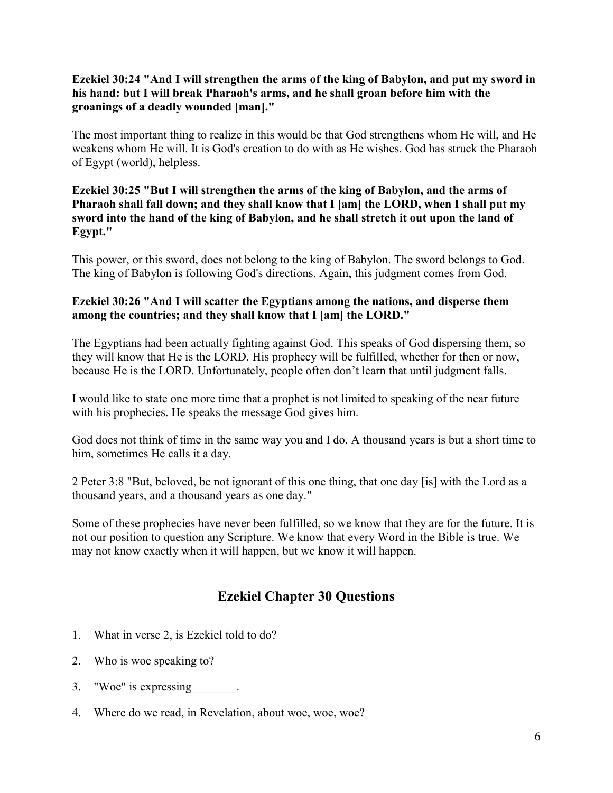# **Ezekiel 30:24 "And I will strengthen the arms of the king of Babylon, and put my sword in his hand: but I will break Pharaoh's arms, and he shall groan before him with the groanings of a deadly wounded [man]."**

The most important thing to realize in this would be that God strengthens whom He will, and He weakens whom He will. It is God's creation to do with as He wishes. God has struck the Pharaoh of Egypt (world), helpless.

# **Ezekiel 30:25 "But I will strengthen the arms of the king of Babylon, and the arms of Pharaoh shall fall down; and they shall know that I [am] the LORD, when I shall put my sword into the hand of the king of Babylon, and he shall stretch it out upon the land of Egypt."**

This power, or this sword, does not belong to the king of Babylon. The sword belongs to God. The king of Babylon is following God's directions. Again, this judgment comes from God.

# **Ezekiel 30:26 "And I will scatter the Egyptians among the nations, and disperse them among the countries; and they shall know that I [am] the LORD."**

The Egyptians had been actually fighting against God. This speaks of God dispersing them, so they will know that He is the LORD. His prophecy will be fulfilled, whether for then or now, because He is the LORD. Unfortunately, people often don't learn that until judgment falls.

I would like to state one more time that a prophet is not limited to speaking of the near future with his prophecies. He speaks the message God gives him.

God does not think of time in the same way you and I do. A thousand years is but a short time to him, sometimes He calls it a day.

2 Peter 3:8 "But, beloved, be not ignorant of this one thing, that one day [is] with the Lord as a thousand years, and a thousand years as one day."

Some of these prophecies have never been fulfilled, so we know that they are for the future. It is not our position to question any Scripture. We know that every Word in the Bible is true. We may not know exactly when it will happen, but we know it will happen.

# **Ezekiel Chapter 30 Questions**

- 1. What in verse 2, is Ezekiel told to do?
- 2. Who is woe speaking to?
- 3. "Woe" is expressing \_\_\_\_\_\_\_.
- 4. Where do we read, in Revelation, about woe, woe, woe?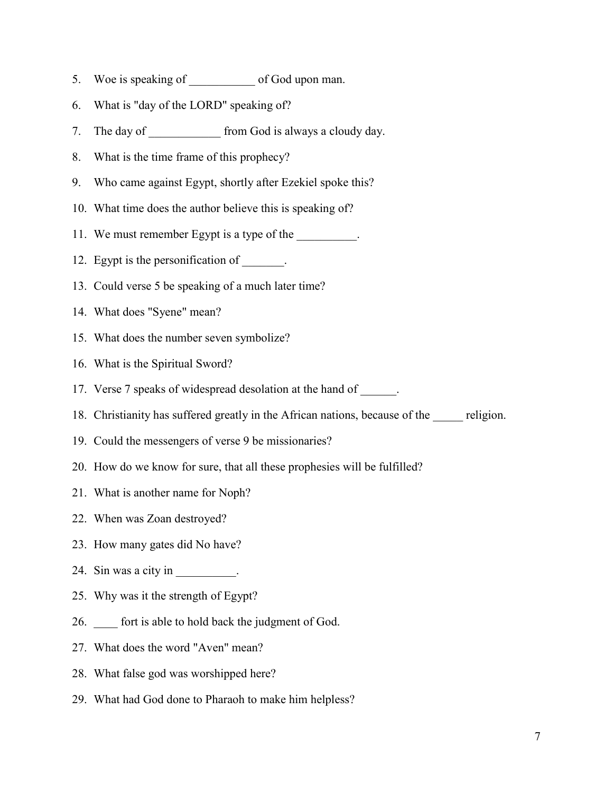- 5. Woe is speaking of \_\_\_\_\_\_\_\_\_\_\_\_ of God upon man.
- 6. What is "day of the LORD" speaking of?
- 7. The day of \_\_\_\_\_\_\_\_\_\_\_\_\_ from God is always a cloudy day.
- 8. What is the time frame of this prophecy?
- 9. Who came against Egypt, shortly after Ezekiel spoke this?
- 10. What time does the author believe this is speaking of?
- 11. We must remember Egypt is a type of the \_\_\_\_\_\_\_\_\_.
- 12. Egypt is the personification of \_\_\_\_\_\_\_.
- 13. Could verse 5 be speaking of a much later time?
- 14. What does "Syene" mean?
- 15. What does the number seven symbolize?
- 16. What is the Spiritual Sword?
- 17. Verse 7 speaks of widespread desolation at the hand of \_\_\_\_\_\_.
- 18. Christianity has suffered greatly in the African nations, because of the \_\_\_\_\_ religion.
- 19. Could the messengers of verse 9 be missionaries?
- 20. How do we know for sure, that all these prophesies will be fulfilled?
- 21. What is another name for Noph?
- 22. When was Zoan destroyed?
- 23. How many gates did No have?
- 24. Sin was a city in  $\_\_\_\_\_\_\_\_\_\_\_\_\_\_\_\_\_\_\_\_$ .
- 25. Why was it the strength of Egypt?
- 26. \_\_\_\_ fort is able to hold back the judgment of God.
- 27. What does the word "Aven" mean?
- 28. What false god was worshipped here?
- 29. What had God done to Pharaoh to make him helpless?